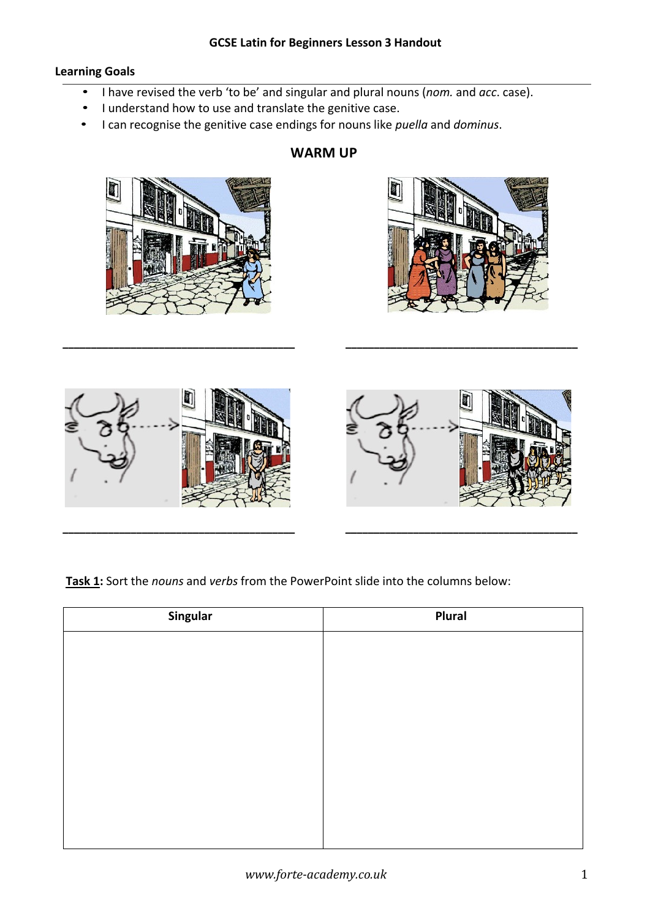### **Learning Goals**

- I have revised the verb 'to be' and singular and plural nouns (*nom.* and *acc*. case).
- I understand how to use and translate the genitive case.
- I can recognise the genitive case endings for nouns like *puella* and *dominus*.



# **WARM UP**





**\_\_\_\_\_\_\_\_\_\_\_\_\_\_\_\_\_\_\_\_\_\_\_\_\_\_\_\_\_\_\_\_\_\_\_\_\_\_\_\_\_ \_\_\_\_\_\_\_\_\_\_\_\_\_\_\_\_\_\_\_\_\_\_\_\_\_\_\_\_\_\_\_\_\_\_\_\_\_\_\_\_\_**

**Task 1:** Sort the *nouns* and *verbs* from the PowerPoint slide into the columns below:

| Singular | Plural |
|----------|--------|
|          |        |
|          |        |
|          |        |
|          |        |
|          |        |
|          |        |
|          |        |
|          |        |
|          |        |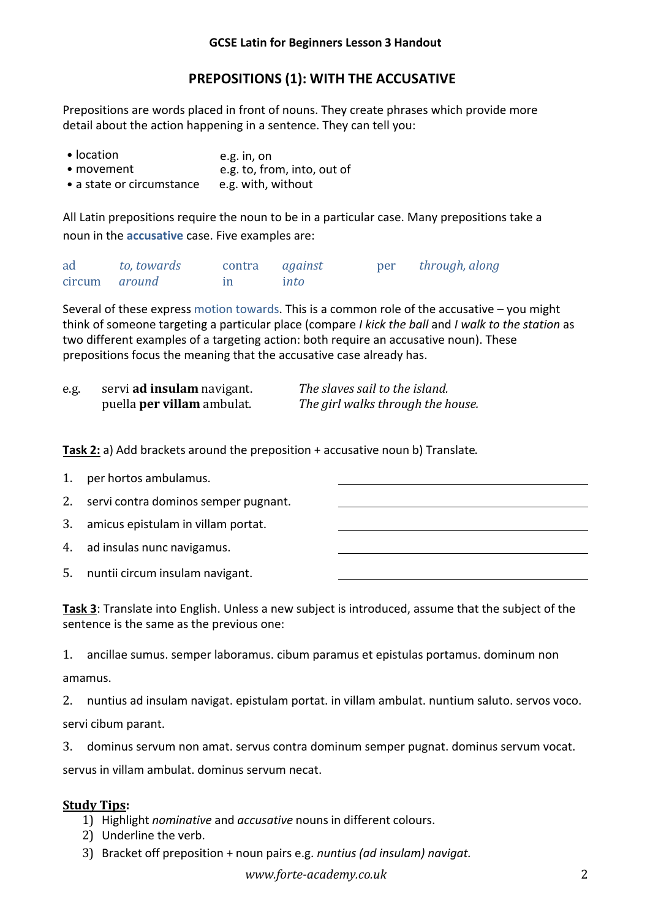# **PREPOSITIONS (1): WITH THE ACCUSATIVE**

Prepositions are words placed in front of nouns. They create phrases which provide more detail about the action happening in a sentence. They can tell you:

| • location                | e.g. in, on                 |
|---------------------------|-----------------------------|
| $\bullet$ movement        | e.g. to, from, into, out of |
| • a state or circumstance | e.g. with, without          |

All Latin prepositions require the noun to be in a particular case. Many prepositions take a noun in the **accusative** case. Five examples are:

ad *to, towards* contra *against* per *through, along* circum *around* in i*nto*

Several of these express motion towards. This is a common role of the accusative – you might think of someone targeting a particular place (compare *I kick the ball* and *I walk to the station* as two different examples of a targeting action: both require an accusative noun). These prepositions focus the meaning that the accusative case already has.

| e.g. | servi <b>ad insulam</b> navigant. | The slaves sail to the island.    |
|------|-----------------------------------|-----------------------------------|
|      | puella <b>per villam</b> ambulat. | The girl walks through the house. |

**Task 2:** a) Add brackets around the preposition + accusative noun b) Translate.

| 1. | per hortos ambulamus.                |  |
|----|--------------------------------------|--|
| 2. | servi contra dominos semper pugnant. |  |
| 3. | amicus epistulam in villam portat.   |  |
|    | 4. ad insulas nunc navigamus.        |  |
| 5. | nuntii circum insulam navigant.      |  |

**Task 3**: Translate into English. Unless a new subject is introduced, assume that the subject of the sentence is the same as the previous one:

1. ancillae sumus. semper laboramus. cibum paramus et epistulas portamus. dominum non

amamus.

2. nuntius ad insulam navigat. epistulam portat. in villam ambulat. nuntium saluto. servos voco.

servi cibum parant.

3. dominus servum non amat. servus contra dominum semper pugnat. dominus servum vocat.

servus in villam ambulat. dominus servum necat.

### **Study Tips:**

- 1) Highlight *nominative* and *accusative* nouns in different colours.
- 2) Underline the verb.
- 3) Bracket off preposition + noun pairs e.g. *nuntius (ad insulam) navigat.*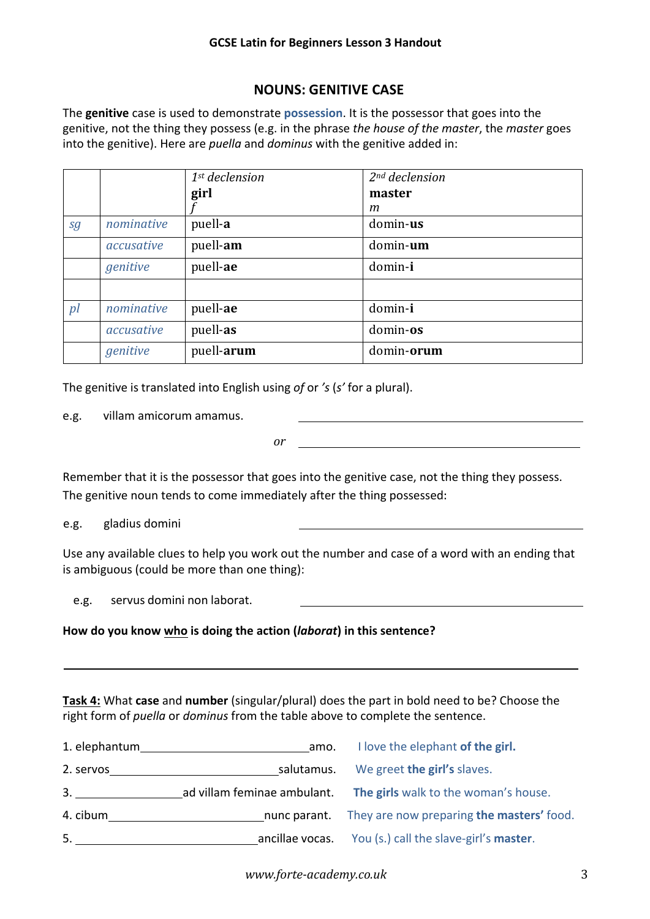### **GCSE Latin for Beginners Lesson 3 Handout**

## **NOUNS: GENITIVE CASE**

The **genitive** case is used to demonstrate **possession**. It is the possessor that goes into the genitive, not the thing they possess (e.g. in the phrase *the house of the master*, the *master* goes into the genitive). Here are *puella* and *dominus* with the genitive added in:

|    |            | $1st$ declension | $2nd$ declension |
|----|------------|------------------|------------------|
|    |            | girl             | master           |
|    |            |                  | m                |
| sg | nominative | puell-a          | domin-us         |
|    | accusative | puell-am         | domin-um         |
|    | genitive   | puell-ae         | domin-i          |
|    |            |                  |                  |
| p  | nominative | puell-ae         | domin-i          |
|    | accusative | puell-as         | domin-os         |
|    | genitive   | puell-arum       | domin-orum       |

The genitive is translated into English using *of* or *'s* (*s'* for a plural).

e.g. villam amicorum amamus.

*or*

Remember that it is the possessor that goes into the genitive case, not the thing they possess. The genitive noun tends to come immediately after the thing possessed:

e.g. gladius domini

Use any available clues to help you work out the number and case of a word with an ending that is ambiguous (could be more than one thing):

e.g. servus domini non laborat.

### **How do you know who is doing the action (***laborat***) in this sentence?**

**Task 4:** What **case** and **number** (singular/plural) does the part in bold need to be? Choose the right form of *puella* or *dominus* from the table above to complete the sentence.

| 1. elephantum | amo.                        | I love the elephant of the girl.                       |
|---------------|-----------------------------|--------------------------------------------------------|
| 2. servos     | salutamus.                  | We greet the girl's slaves.                            |
| 3.            | ad villam feminae ambulant. | The girls walk to the woman's house.                   |
| 4. cibum      |                             | nunc parant. They are now preparing the masters' food. |
| 5.            | ancillae vocas.             | You (s.) call the slave-girl's master.                 |